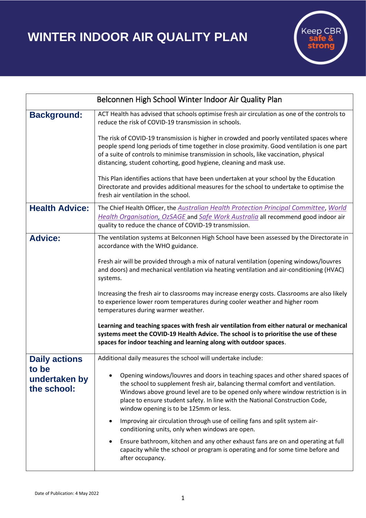## **WINTER INDOOR AIR QUALITY PLAN**



| Belconnen High School Winter Indoor Air Quality Plan |                                                                                                                                                                                                                                                                                                                                                                                |
|------------------------------------------------------|--------------------------------------------------------------------------------------------------------------------------------------------------------------------------------------------------------------------------------------------------------------------------------------------------------------------------------------------------------------------------------|
| <b>Background:</b>                                   | ACT Health has advised that schools optimise fresh air circulation as one of the controls to<br>reduce the risk of COVID-19 transmission in schools.                                                                                                                                                                                                                           |
|                                                      | The risk of COVID-19 transmission is higher in crowded and poorly ventilated spaces where<br>people spend long periods of time together in close proximity. Good ventilation is one part<br>of a suite of controls to minimise transmission in schools, like vaccination, physical<br>distancing, student cohorting, good hygiene, cleaning and mask use.                      |
|                                                      | This Plan identifies actions that have been undertaken at your school by the Education<br>Directorate and provides additional measures for the school to undertake to optimise the<br>fresh air ventilation in the school.                                                                                                                                                     |
| <b>Health Advice:</b>                                | The Chief Health Officer, the Australian Health Protection Principal Committee, World<br>Health Organisation, OzSAGE and Safe Work Australia all recommend good indoor air<br>quality to reduce the chance of COVID-19 transmission.                                                                                                                                           |
| <b>Advice:</b>                                       | The ventilation systems at Belconnen High School have been assessed by the Directorate in<br>accordance with the WHO guidance.<br>Fresh air will be provided through a mix of natural ventilation (opening windows/louvres                                                                                                                                                     |
|                                                      | and doors) and mechanical ventilation via heating ventilation and air-conditioning (HVAC)<br>systems.                                                                                                                                                                                                                                                                          |
|                                                      | Increasing the fresh air to classrooms may increase energy costs. Classrooms are also likely<br>to experience lower room temperatures during cooler weather and higher room<br>temperatures during warmer weather.                                                                                                                                                             |
|                                                      | Learning and teaching spaces with fresh air ventilation from either natural or mechanical<br>systems meet the COVID-19 Health Advice. The school is to prioritise the use of these<br>spaces for indoor teaching and learning along with outdoor spaces.                                                                                                                       |
| <b>Daily actions</b>                                 | Additional daily measures the school will undertake include:                                                                                                                                                                                                                                                                                                                   |
| to be<br>undertaken by<br>the school:                | Opening windows/louvres and doors in teaching spaces and other shared spaces of<br>the school to supplement fresh air, balancing thermal comfort and ventilation.<br>Windows above ground level are to be opened only where window restriction is in<br>place to ensure student safety. In line with the National Construction Code,<br>window opening is to be 125mm or less. |
|                                                      | Improving air circulation through use of ceiling fans and split system air-<br>conditioning units, only when windows are open.                                                                                                                                                                                                                                                 |
|                                                      | Ensure bathroom, kitchen and any other exhaust fans are on and operating at full<br>$\bullet$<br>capacity while the school or program is operating and for some time before and<br>after occupancy.                                                                                                                                                                            |